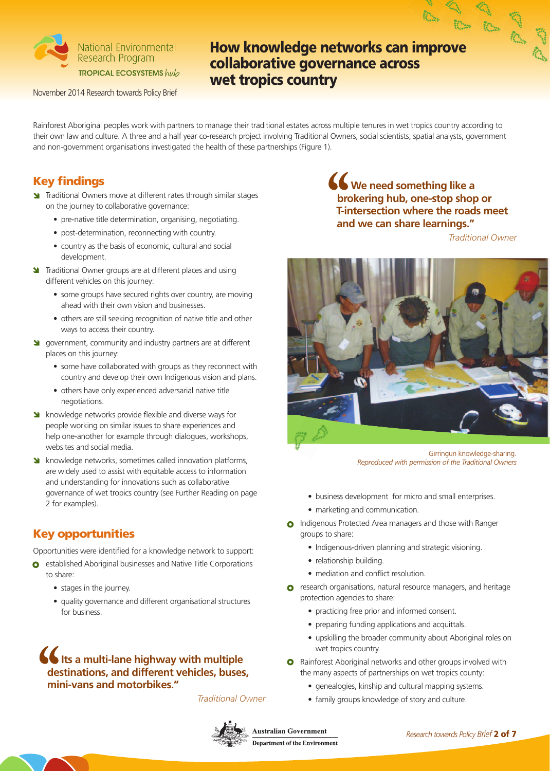

November 2014 Research towards Policy Brief

# **How knowledge networks can improve collaborative governance across wet tropics country**

Rainforest Aboriginal peoples work with partners to manage their traditional estates across multiple tenures in wet tropics country according to their own law and culture. A three and a half year co-research project involving Traditional Owners, social scientists, spatial analysts, government and non-government organisations investigated the health of these partnerships (Figure 1).

## **Key findings**

- **N** Traditional Owners move at different rates through similar stages on the journey to collaborative governance:
	- pre-native title determination, organising, negotiating.
	- post-determination, reconnecting with country.
	- country as the basis of economic, cultural and social development.
- **Traditional Owner groups are at different places and using** different vehicles on this journey:
	- some groups have secured rights over country, are moving ahead with their own vision and businesses.
	- others are still seeking recognition of native title and other ways to access their country.
- **S** government, community and industry partners are at different places on this journey:
	- some have collaborated with groups as they reconnect with country and develop their own Indigenous vision and plans.
	- others have only experienced adversarial native title negotiations.
- Strath will end and diverse ways for people working on similar issues to share experiences and help one-another for example through dialogues, workshops, websites and social media.
- Strather knowledge networks, sometimes called innovation platforms, are widely used to assist with equitable access to information and understanding for innovations such as collaborative governance of wet tropics country (see Further Reading on page 2 for examples).

#### **Key opportunities**

Opportunities were identified for a knowledge network to support:

- **o** established Aboriginal businesses and Native Title Corporations to share:
	- stages in the journey.
	- quality governance and different organisational structures for business.

## $\bigcup$  Its a multi-lane highway with multiple **destinations, and different vehicles, buses, mini-vans and motorbikes."**

*Traditional Owner*



*<u>C</u>* We need something like a **brokering hub, one-stop shop or T-intersection where the roads meet and we can share learnings."**

*Traditional Owner*



Girringun knowledge-sharing. *Reproduced with permission of the Traditional Owners*

- business development for micro and small enterprises.
- marketing and communication.
- **O** Indigenous Protected Area managers and those with Ranger groups to share:
	- Indigenous-driven planning and strategic visioning.
	- relationship building
	- mediation and conflict resolution.
- **o** research organisations, natural resource managers, and heritage protection agencies to share:
	- practicing free prior and informed consent.
	- preparing funding applications and acquittals.
	- upskilling the broader community about Aboriginal roles on wet tropics country.
- **O** Rainforest Aboriginal networks and other groups involved with the many aspects of partnerships on wet tropics county:
	- genealogies, kinship and cultural mapping systems.
	- family groups knowledge of story and culture.

**Australian Government Department of the Environment**